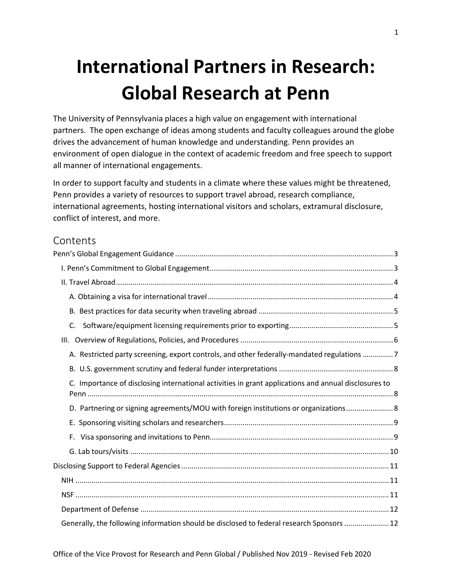# **International Partners in Research: Global Research at Penn**

The University of Pennsylvania places a high value on engagement with international partners. The open exchange of ideas among students and faculty colleagues around the globe drives the advancement of human knowledge and understanding. Penn provides an environment of open dialogue in the context of academic freedom and free speech to support all manner of international engagements.

In order to support faculty and students in a climate where these values might be threatened, Penn provides a variety of resources to support travel abroad, research compliance, international agreements, hosting international visitors and scholars, extramural disclosure, conflict of interest, and more.

### Contents

| C.                                                                                                   |
|------------------------------------------------------------------------------------------------------|
|                                                                                                      |
| A. Restricted party screening, export controls, and other federally-mandated regulations 7           |
|                                                                                                      |
| C. Importance of disclosing international activities in grant applications and annual disclosures to |
| D. Partnering or signing agreements/MOU with foreign institutions or organizations 8                 |
|                                                                                                      |
|                                                                                                      |
|                                                                                                      |
|                                                                                                      |
|                                                                                                      |
|                                                                                                      |
|                                                                                                      |
| Generally, the following information should be disclosed to federal research Sponsors  12            |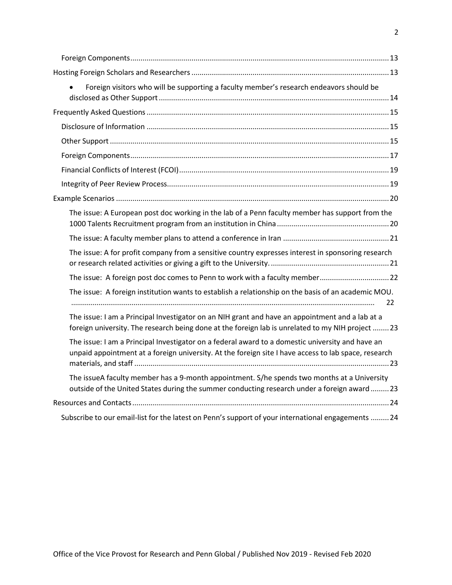| Foreign visitors who will be supporting a faculty member's research endeavors should be                                                                                                                  |
|----------------------------------------------------------------------------------------------------------------------------------------------------------------------------------------------------------|
|                                                                                                                                                                                                          |
|                                                                                                                                                                                                          |
|                                                                                                                                                                                                          |
|                                                                                                                                                                                                          |
|                                                                                                                                                                                                          |
|                                                                                                                                                                                                          |
|                                                                                                                                                                                                          |
|                                                                                                                                                                                                          |
| The issue: A European post doc working in the lab of a Penn faculty member has support from the                                                                                                          |
|                                                                                                                                                                                                          |
| The issue: A for profit company from a sensitive country expresses interest in sponsoring research                                                                                                       |
| The issue: A foreign post doc comes to Penn to work with a faculty member 22                                                                                                                             |
| The issue: A foreign institution wants to establish a relationship on the basis of an academic MOU.<br>22                                                                                                |
| The issue: I am a Principal Investigator on an NIH grant and have an appointment and a lab at a<br>foreign university. The research being done at the foreign lab is unrelated to my NIH project  23     |
| The issue: I am a Principal Investigator on a federal award to a domestic university and have an<br>unpaid appointment at a foreign university. At the foreign site I have access to lab space, research |
| The issueA faculty member has a 9-month appointment. S/he spends two months at a University<br>outside of the United States during the summer conducting research under a foreign award  23              |
|                                                                                                                                                                                                          |
| Subscribe to our email-list for the latest on Penn's support of your international engagements  24                                                                                                       |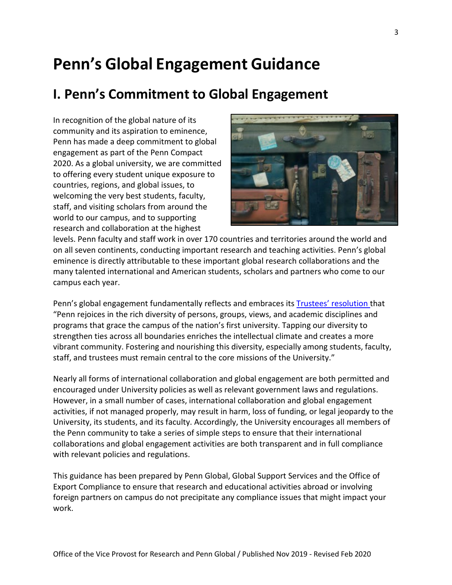# **Penn's Global Engagement Guidance**

# **I. Penn's Commitment to Global Engagement**

In recognition of the global nature of its community and its aspiration to eminence, Penn has made a deep commitment to global engagement as part of the Penn Compact 2020. As a global university, we are committed to offering every student unique exposure to countries, regions, and global issues, to welcoming the very best students, faculty, staff, and visiting scholars from around the world to our campus, and to supporting research and collaboration at the highest



levels. Penn faculty and staff work in over 170 countries and territories around the world and on all seven continents, conducting important research and teaching activities. Penn's global eminence is directly attributable to these important global research collaborations and the many talented international and American students, scholars and partners who come to our campus each year.

Penn's global engagement fundamentally reflects and embraces it[s Trustees' resolution t](http://www.upenn.edu/affirm-action/policies-handbooks.html)hat "Penn rejoices in the rich diversity of persons, groups, views, and academic disciplines and programs that grace the campus of the nation's first university. Tapping our diversity to strengthen ties across all boundaries enriches the intellectual climate and creates a more vibrant community. Fostering and nourishing this diversity, especially among students, faculty, staff, and trustees must remain central to the core missions of the University."

Nearly all forms of international collaboration and global engagement are both permitted and encouraged under University policies as well as relevant government laws and regulations. However, in a small number of cases, international collaboration and global engagement activities, if not managed properly, may result in harm, loss of funding, or legal jeopardy to the University, its students, and its faculty. Accordingly, the University encourages all members of the Penn community to take a series of simple steps to ensure that their international collaborations and global engagement activities are both transparent and in full compliance with relevant policies and regulations.

This guidance has been prepared by Penn Global, Global Support Services and the Office of Export Compliance to ensure that research and educational activities abroad or involving foreign partners on campus do not precipitate any compliance issues that might impact your work.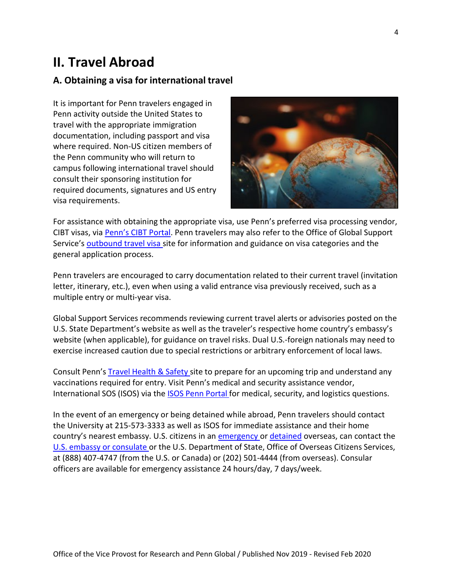## **II. Travel Abroad**

#### **A. Obtaining a visa for international travel**

It is important for Penn travelers engaged in Penn activity outside the United States to travel with the appropriate immigration documentation, including passport and visa where required. Non-US citizen members of the Penn community who will return to campus following international travel should consult their sponsoring institution for required documents, signatures and US entry visa requirements.



For assistance with obtaining the appropriate visa, use Penn's preferred visa processing vendor, CIBT visas, via [Penn's CIBT Portal. P](https://cibtvisas.com/portal?login=upenn)enn travelers may also refer to the Office of Global Support Service's **outbound travel visa** site for information and guidance on visa categories and the general application process.

Penn travelers are encouraged to carry documentation related to their current travel (invitation letter, itinerary, etc.), even when using a valid entrance visa previously received, such as a multiple entry or multi-year visa.

Global Support Services recommends reviewing current travel alerts or advisories posted on the U.S. State Department's website as well as the traveler's respective home country's embassy's website (when applicable), for guidance on travel risks. Dual U.S.-foreign nationals may need to exercise increased caution due to special restrictions or arbitrary enforcement of local laws.

Consult Penn's Travel [Health](https://global.upenn.edu/travel-guidance/health-safety) & Safety site to prepare for an upcoming trip and understand any vaccinations required for entry. Visit Penn's medical and security assistance vendor, International SOS (ISOS) via the ISOS Penn [Portal](https://www.internationalsos.com/MasterPortal/default.aspx?membnum=11BSGC000012) for medical, security, and logistics questions.

In the event of an emergency or being detained while abroad, Penn travelers should contact the University at 215-573-3333 as well as ISOS for immediate assistance and their home country's nearest embassy. U.S. citizens in an [emergency o](https://travel.state.gov/content/travel/en/international-travel/emergencies.html)r [detained](https://travel.state.gov/content/travel/en/international-travel/emergencies/arrest-detention.html) overseas, can contact the U.S. embassy or [consulate](https://www.usembassy.gov/) or the U.S. Department of State, Office of Overseas Citizens Services, at (888) 407-4747 (from the U.S. or Canada) or (202) 501-4444 (from overseas). Consular officers are available for emergency assistance 24 hours/day, 7 days/week.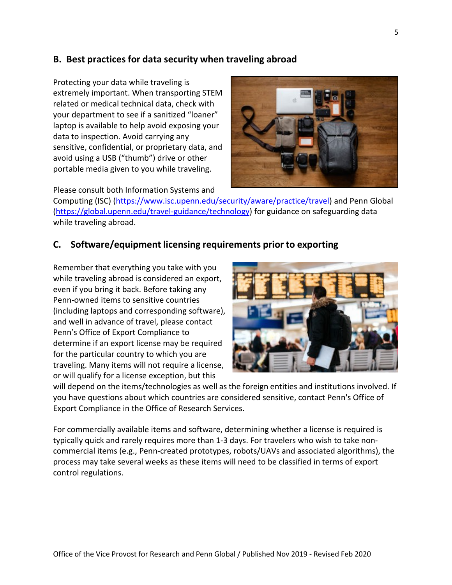#### **B. Best practices for data security when traveling abroad**

Protecting your data while traveling is extremely important. When transporting STEM related or medical technical data, check with your department to see if a sanitized "loaner" laptop is available to help avoid exposing your data to inspection. Avoid carrying any sensitive, confidential, or proprietary data, and avoid using a USB ("thumb") drive or other portable media given to you while traveling.



Please consult both Information Systems and

Computing (ISC) [\(https://www.isc.upenn.edu/security/aware/practice/travel\) a](https://www.isc.upenn.edu/security/aware/practice/travel)nd Penn Global [\(https://global.upenn.edu/travel-guidance/technology\) f](https://global.upenn.edu/travel-guidance/technology)or guidance on safeguarding data while traveling abroad.

#### **C. Software/equipment licensing requirements prior to exporting**

Remember that everything you take with you while traveling abroad is considered an export, even if you bring it back. Before taking any Penn-owned items to sensitive countries (including laptops and corresponding software), and well in advance of travel, please contact [Penn's Office of Export Compliance t](https://researchservices.upenn.edu/areas-of-service/export-compliance/)o determine if an export license may be required for the particular country to which you are traveling. Many items will not require a license, or will qualify for a license exception, but this



will depend on the items/technologies as well as the foreign entities and institutions involved. If you have questions about which countries are considered sensitive, contact Penn's Office of Export Compliance in the Office of Research Services.

For commercially available items and software, determining whether a license is required is typically quick and rarely requires more than 1-3 days. For travelers who wish to take noncommercial items (e.g., Penn-created prototypes, robots/UAVs and associated algorithms), the process may take several weeks as these items will need to be classified in terms of export control regulations.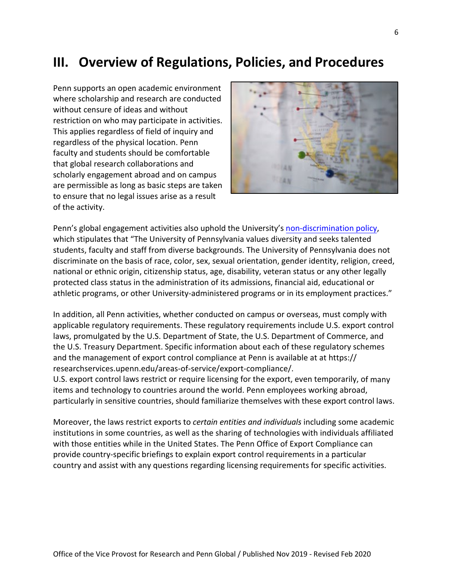## **III. Overview of Regulations, Policies, and Procedures**

Penn supports an open academic environment where scholarship and research are conducted without censure of ideas and without restriction on who may participate in activities. This applies regardless of field of inquiry and regardless of the physical location. Penn faculty and students should be comfortable that global research collaborations and scholarly engagement abroad and on campus are permissible as long as basic steps are taken to ensure that no legal issues arise as a result of the activity.



Penn's global engagement activities also uphold the University's [non-discrimination policy,](http://www.upenn.edu/affirm-action/policies-handbooks.html)  which stipulates that "The University of Pennsylvania values diversity and seeks talented students, faculty and staff from diverse backgrounds. The University of Pennsylvania does not discriminate on the basis of race, color, sex, sexual orientation, gender identity, religion, creed, national or ethnic origin, citizenship status, age, disability, veteran status or any other legally protected class status in the administration of its admissions, financial aid, educational or athletic programs, or other University-administered programs or in its employment practices."

In addition, all Penn activities, whether conducted on campus or overseas, must comply with applicable regulatory requirements. These regulatory requirements include U.S. export control laws, promulgated by the U.S. Department of State, the U.S. Department of Commerce, and the U.S. Treasury Department. Specific information about each of these regulatory schemes and the management of export control compliance at Penn is available at at https:// [researchservices.upenn.edu/areas-of-service/export-compliance](http://www.upenn.edu/researchservices/exportcontrols.html)/.

U.S. export control laws restrict or require licensing for the export, even temporarily, of many items and technology to countries around the world. Penn employees working abroad, particularly in sensitive countries, should familiarize themselves with these export control laws.

Moreover, the laws restrict exports to *certain entities and individuals* including some academic institutions in some countries, as well as the sharing of technologies with individuals affiliated with those entities while in the United States. The Penn Office of Export Compliance can provide country-specific briefings to explain export control requirements in a particular country and assist with any questions regarding licensing requirements for specific activities.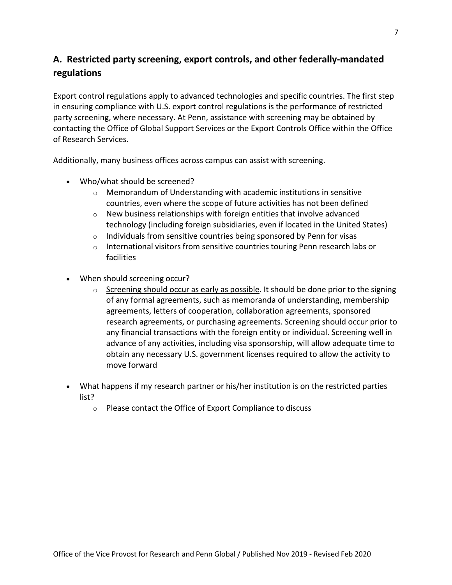### **A. Restricted party screening, export controls, and other federally-mandated regulations**

Export control regulations apply to advanced technologies and specific countries. The first step in ensuring compliance with U.S. export control regulations is the performance of restricted party screening, where necessary. At Penn, assistance with screening may be obtained by contacting the Office of Global Support Services or the Export Controls Office within the Office of Research Services.

Additionally, many business offices across campus can assist with screening.

- Who/what should be screened?
	- o Memorandum of Understanding with academic institutions in sensitive countries, even where the scope of future activities has not been defined
	- $\circ$  New business relationships with foreign entities that involve advanced technology (including foreign subsidiaries, even if located in the United States)
	- $\circ$  Individuals from sensitive countries being sponsored by Penn for visas
	- $\circ$  International visitors from sensitive countries touring Penn research labs or facilities
- When should screening occur?
	- o Screening should occur as early as possible. It should be done prior to the signing of any formal agreements, such as memoranda of understanding, membership agreements, letters of cooperation, collaboration agreements, sponsored research agreements, or purchasing agreements. Screening should occur prior to any financial transactions with the foreign entity or individual. Screening well in advance of any activities, including visa sponsorship, will allow adequate time to obtain any necessary U.S. government licenses required to allow the activity to move forward
- What happens if my research partner or his/her institution is on the restricted parties list?
	- o Please contact the Office of Export Compliance to discuss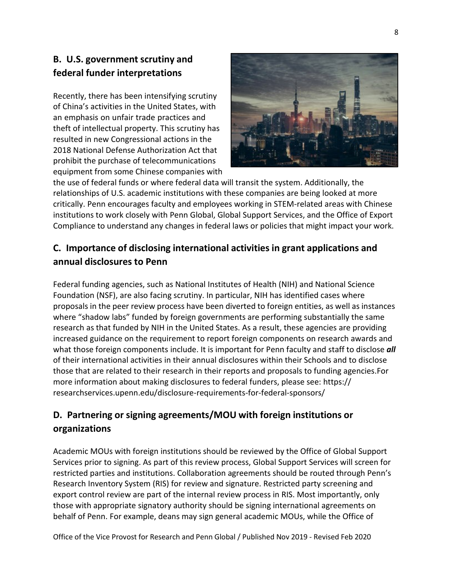### **B. U.S. government scrutiny and federal funder interpretations**

Recently, there has been intensifying scrutiny of China's activities in the United States, with an emphasis on unfair trade practices and theft of intellectual property. This scrutiny has resulted in new Congressional actions in the 2018 National Defense Authorization Act that prohibit the purchase of telecommunications equipment from some Chinese companies with



the use of federal funds or where federal data will transit the system. Additionally, the relationships of U.S. academic institutions with these companies are being looked at more critically. Penn encourages faculty and employees working in STEM-related areas with Chinese institutions to work closely with Penn Global, Global Support Services, and the Office of Export Compliance to understand any changes in federal laws or policies that might impact your work.

### **C. Importance of disclosing international activities in grant applications and annual disclosures to Penn**

Federal funding agencies, such as National Institutes of Health (NIH) and National Science Foundation (NSF), are also facing scrutiny. In particular, NIH has identified cases where proposals in the peer review process have been diverted to foreign entities, as well as instances where "shadow labs" funded by foreign governments are performing substantially the same research as that funded by NIH in the United States. As a result, these agencies are providing increased guidance on the requirement to report foreign components on research awards and what those foreign components include. It is important for Penn faculty and staff to disclose *all* of their international activities in their annual disclosures within their Schools and to disclose those that are related to their research in their reports and proposals to funding agencies.For more information about making disclosures to federal funders, please see: https:// researchservices.upenn.edu/disclosure-requirements-for-federal-sponsors/

### **D. Partnering or signing agreements/MOU with foreign institutions or organizations**

Academic MOUs with foreign institutions should be reviewed by the Office of Global Support Services prior to signing. As part of this review process, Global Support Services will screen for restricted parties and institutions. Collaboration agreements should be routed through Penn's Research Inventory System (RIS) for review and signature. Restricted party screening and export control review are part of the internal review process in RIS. Most importantly, only those with appropriate signatory authority should be signing international agreements on behalf of Penn. For example, deans may sign general academic MOUs, while the Office of

Office of the Vice Provost for Research and Penn Global / Published Nov 2019 - Revised Feb 2020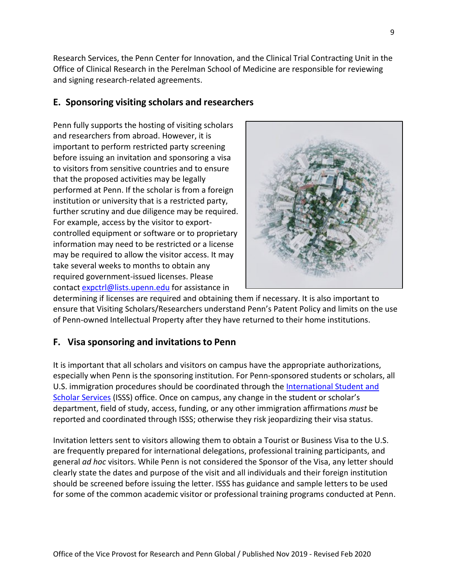Research Services, the Penn Center for Innovation, and the Clinical Trial Contracting Unit in the Office of Clinical Research in the Perelman School of Medicine are responsible for reviewing and signing research-related agreements.

### **E. Sponsoring visiting scholars and researchers**

Penn fully supports the hosting of visiting scholars and researchers from abroad. However, it is important to perform restricted party screening before issuing an invitation and sponsoring a visa to visitors from sensitive countries and to ensure that the proposed activities may be legally performed at Penn. If the scholar is from a foreign institution or university that is a restricted party, further scrutiny and due diligence may be required. For example, access by the visitor to exportcontrolled equipment or software or to proprietary information may need to be restricted or a license may be required to allow the visitor access. It may take several weeks to months to obtain any required government-issued licenses. Please contact [expctrl@lists.upenn.edu](mailto:expctrl@lists.upenn.edu) for assistance in

determining if licenses are required and obtaining them if necessary. It is also important to ensure that Visiting Scholars/Researchers understand Penn's Patent Policy and limits on the use of Penn-owned Intellectual Property after they have returned to their home institutions.

### **F. Visa sponsoring and invitations to Penn**

It is important that all scholars and visitors on campus have the appropriate authorizations, especially when Penn is the sponsoring institution. For Penn-sponsored students or scholars, all U.S. immigration procedures should be coordinated through the [International Student and](https://global.upenn.edu/isss) [Scholar Services](https://global.upenn.edu/isss) (ISSS) office. Once on campus, any change in the student or scholar's department, field of study, access, funding, or any other immigration affirmations *must* be reported and coordinated through ISSS; otherwise they risk jeopardizing their visa status.

Invitation letters sent to visitors allowing them to obtain a Tourist or Business Visa to the U.S. are frequently prepared for international delegations, professional training participants, and general *ad hoc* visitors. While Penn is not considered the Sponsor of the Visa, any letter should clearly state the dates and purpose of the visit and all individuals and their foreign institution should be screened before issuing the letter. ISSS has guidance and sample letters to be used for some of the common academic visitor or professional training programs conducted at Penn.

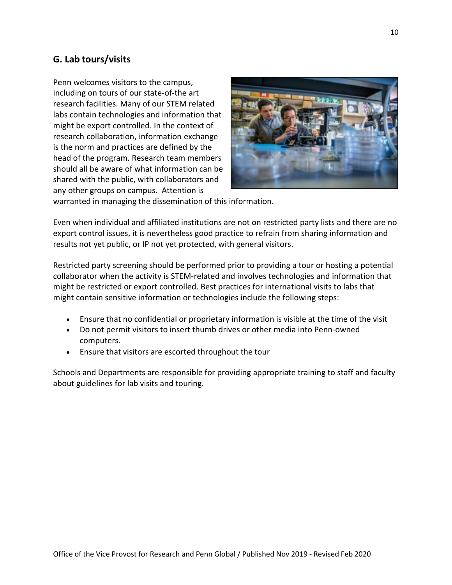### **G. Lab tours/visits**

Penn welcomes visitors to the campus, including on tours of our state-of-the art research facilities. Many of our STEM related labs contain technologies and information that might be export controlled. In the context of research collaboration, information exchange is the norm and practices are defined by the head of the program. Research team members should all be aware of what information can be shared with the public, with collaborators and any other groups on campus. Attention is



warranted in managing the dissemination of this information.

Even when individual and affiliated institutions are not on restricted party lists and there are no export control issues, it is nevertheless good practice to refrain from sharing information and results not yet public, or IP not yet protected, with general visitors.

Restricted party screening should be performed prior to providing a tour or hosting a potential collaborator when the activity is STEM-related and involves technologies and information that might be restricted or export controlled. Best practices for international visits to labs that might contain sensitive information or technologies include the following steps:

- Ensure that no confidential or proprietary information is visible at the time of the visit
- Do not permit visitors to insert thumb drives or other media into Penn-owned computers.
- Ensure that visitors are escorted throughout the tour

Schools and Departments are responsible for providing appropriate training to staff and faculty about guidelines for lab visits and touring.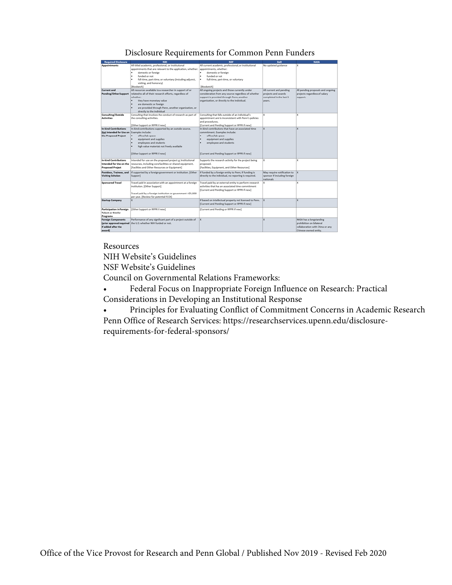#### Disclosure Requirements for Common Penn Funders

| <b>Required Disclosure</b>      | NIH                                                          | <b>NSF</b>                                              | DoD                          | <b>NASA</b>                       |
|---------------------------------|--------------------------------------------------------------|---------------------------------------------------------|------------------------------|-----------------------------------|
| Appointments                    | All titled academic, professional, or institutional          | All current academic, professional, or institutional    | No updated guidance          | lχ                                |
|                                 | appointments that are relevant to the application, whether:  | appointments, whether:                                  |                              |                                   |
|                                 | domestic or foreign                                          | domestic or foreign<br>٠                                |                              |                                   |
|                                 | funded or not                                                | funded or not<br>٠                                      |                              |                                   |
|                                 | full-time, part-time, or voluntary (including adjunct,       | full-time, part-time, or voluntary<br>٠                 |                              |                                   |
|                                 | visiting, and honorary)                                      |                                                         |                              |                                   |
|                                 | [Biosketch]                                                  | [Biosketch]                                             |                              |                                   |
| <b>Current and</b>              | All resources available to a researcher in support of or     | All ongoing projects and those currently under          | All current and pending      | All pending proposals and ongoing |
| Pending/Other Support           | related to all of their research efforts, regardless of      | consideration from any source regardless of whether     | projects and awards          | projects regardless of salary     |
|                                 | whether:                                                     | support is provided through Penn, another               | completed in the last 5      | support.                          |
|                                 | ٠<br>they have monetary value                                | organization, or directly to the individual.            | years.                       |                                   |
|                                 | are domestic or foreign                                      |                                                         |                              |                                   |
|                                 | are provided through Penn, another organization, or          |                                                         |                              |                                   |
|                                 | directly to the individual                                   |                                                         |                              |                                   |
| Consulting/Outside              | Consulting that involves the conduct of research as part of  | Consulting that falls outside of an individual's        | x                            | ×                                 |
| <b>Activities</b>               | the consulting activities.                                   | appointment and is inconsistent with Penn's policies    |                              |                                   |
|                                 |                                                              | and procedures.                                         |                              |                                   |
|                                 | Other Support or RPPR if new]                                | Current and Pending Support or RPPR if new)             |                              |                                   |
| <b>In-kind Contributions</b>    | In-kind contributions supported by an outside source.        | In-kind contributions that have an associated time      | lx.                          | x                                 |
| Not Intended for Use on         | Examples include:                                            | commitment. Examples include:                           |                              |                                   |
| the Proposed Project            | office/lab space<br>٠                                        | ٠<br>office/lab space                                   |                              |                                   |
|                                 | equipment and supplies                                       | equipment and supplies<br>٠                             |                              |                                   |
|                                 | employees and students.                                      | employees and students                                  |                              |                                   |
|                                 | high value materials not freely available                    |                                                         |                              |                                   |
|                                 |                                                              |                                                         |                              |                                   |
|                                 | [Other Support or RPPR if new]                               | [Current and Pending Support or RPPR if new]            |                              |                                   |
|                                 |                                                              |                                                         |                              |                                   |
| <b>In-kind Contributions</b>    | Intended for use on the proposed project or Institutional    | Supports the research activity for the project being    | lx.                          | ×                                 |
| Intended for Use on the         | resources, including core facilities or shared equipment.    | proposed.                                               |                              |                                   |
| <b>Proposed Project</b>         | [Facilities and Other Resources or Equipment]                | [Facilities, Equipment, and Other Resources]            |                              |                                   |
| Postdocs, Trainees, and         | If supported by a foreign government or institution. [Other  | If funded by a foreign entity to Penn; if funding is    | May require notification to  | $\mathbf{x}$                      |
| <b>Visiting Scholars</b>        | Support]                                                     | directly to the individual, no reporting is required.   | sponsor if including foreign |                                   |
|                                 |                                                              |                                                         | nationals                    |                                   |
| <b>Sponsored Travel</b>         | Travel paid in association with an appointment at a foreign  | Travel paid by an external entity to perform research   | x                            | ×                                 |
|                                 | institution. [Other Support]                                 | activities that has an associated time commitment       |                              |                                   |
|                                 |                                                              | [Current and Pending Support or RPPR if new]            |                              |                                   |
|                                 | Travel paid by a foreign institution or government >\$5,000  |                                                         |                              |                                   |
|                                 | per year. [Review for potential FCOI]                        |                                                         |                              |                                   |
| <b>Startup Company</b>          | x                                                            | If based on intellectual property not licensed to Penn. | $\mathbf{X}$                 | $\overline{\mathbf{x}}$           |
|                                 |                                                              | [Current and Pending Support or RPPR if new]            |                              |                                   |
|                                 |                                                              |                                                         |                              |                                   |
| <b>Participation in Foreign</b> | [Other Support or RPPR if new]                               | [Current and Pending or RPPR if new]                    |                              |                                   |
| <b>Talent or Similar</b>        |                                                              |                                                         |                              |                                   |
| Programs                        |                                                              |                                                         |                              |                                   |
| <b>Foreign Components</b>       | Performance of any significant part of a project outside of  | lx.                                                     | $\overline{\mathbf{x}}$      | NASA has a longstanding           |
|                                 | (prior approval required the U.S. whether NIH funded or not. |                                                         |                              | prohibition on bilateral          |
| if added after the              |                                                              |                                                         |                              | collaboration with China or any   |
| award)                          |                                                              |                                                         |                              | Chinese-owned entity.             |

#### Resources

NIH Website's Guidelines

NSF Website's Guidelines

Council on Governmental Relations Frameworks:

- Federal Focus on Inappropriate Foreign Influen[ce on Research: P](https://www.cogr.edu/commentary-disclosing-other-support-and-other-resources-nih-funded-research)ractical Considerations in Developing an Institutional Response
- Principles for Evaluating Conflict of Commitm[ent Concerns in Academic Research](http://www.cogr.edu/sites/default/files/COGR%20Foreign%20Influence%20Practical%20Considerations%20-%20Aug%202021%20%281%29.pdf) Penn Office of Research Services: https://researchservic[es.upenn.edu/disclosure](http://www.cogr.edu/sites/default/files/COGR%20Foreign%20Influence%20Practical%20Considerations%20-%20Aug%202021%20%281%29.pdf)requirements-for-federal-sponsors/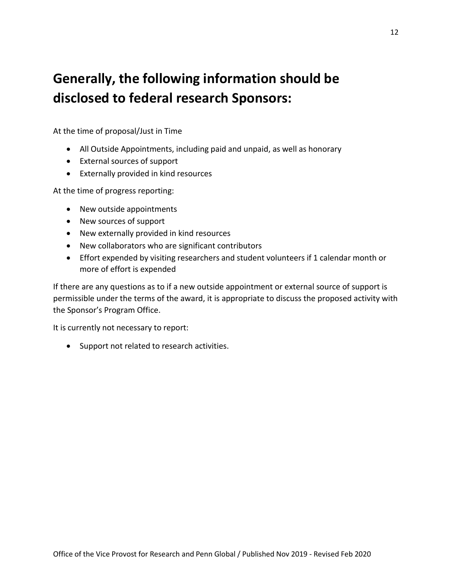# **Generally, the following information should be disclosed to federal research Sponsors:**

At the time of proposal/Just in Time

- All Outside Appointments, including paid and unpaid, as well as honorary
- External sources of support
- Externally provided in kind resources

At the time of progress reporting:

- New outside appointments
- New sources of support
- New externally provided in kind resources
- New collaborators who are significant contributors
- Effort expended by visiting researchers and student volunteers if 1 calendar month or more of effort is expended

If there are any questions as to if a new outside appointment or external source of support is permissible under the terms of the award, it is appropriate to discuss the proposed activity with the Sponsor's Program Office.

It is currently not necessary to report:

• Support not related to research activities.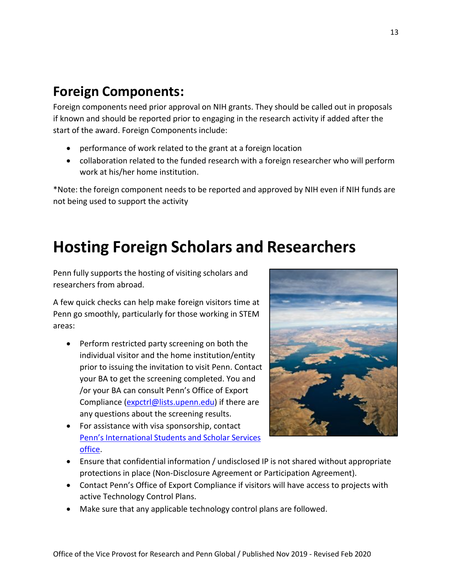## **Foreign Components:**

Foreign components need prior approval on NIH grants. They should be called out in proposals if known and should be reported prior to engaging in the research activity if added after the start of the award. Foreign Components include:

- performance of work related to the grant at a foreign location
- collaboration related to the funded research with a foreign researcher who will perform work at his/her home institution.

\*Note: the foreign component needs to be reported and approved by NIH even if NIH funds are not being used to support the activity

# **Hosting Foreign Scholars and Researchers**

Penn fully supports the hosting of visiting scholars and researchers from abroad.

A few quick checks can help make foreign visitors time at Penn go smoothly, particularly for those working in STEM areas:

- Perform restricted party screening on both the individual visitor and the home institution/entity prior to issuing the invitation to visit Penn. Contact your BA to get the screening completed. You and /or your BA can consult Penn's Office of Export Compliance [\(expctrl@lists.upenn.edu\)](mailto:expctrl@lists.upenn.edu) if there are any questions about the screening results.
- For assistance with visa sponsorship, contact Penn's [International](https://global.upenn.edu/isss/scholar_dept) Students and Scholar Services [office.](https://global.upenn.edu/isss/scholar_dept)



- Ensure that confidential information / undisclosed IP is not shared without appropriate protections in place (Non-Disclosure Agreement or Participation Agreement).
- Contact Penn's Office of Export Compliance if visitors will have access to projects with active Technology Control Plans.
- Make sure that any applicable technology control plans are followed.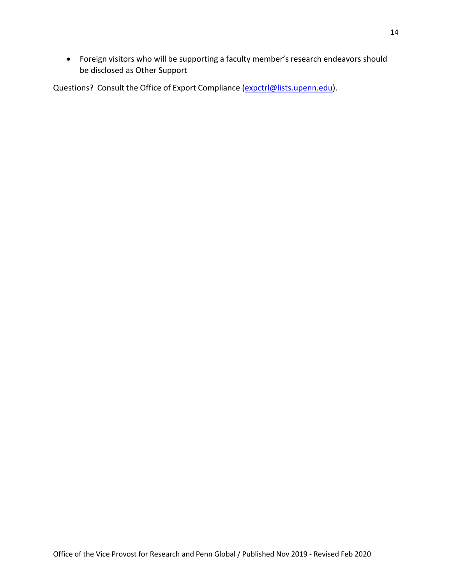• Foreign visitors who will be supporting a faculty member's research endeavors should be disclosed as Other Support

Questions? Consult the Office of Export Compliance [\(expctrl@lists.upenn.edu\)](mailto:expctrl@lists.upenn.edu).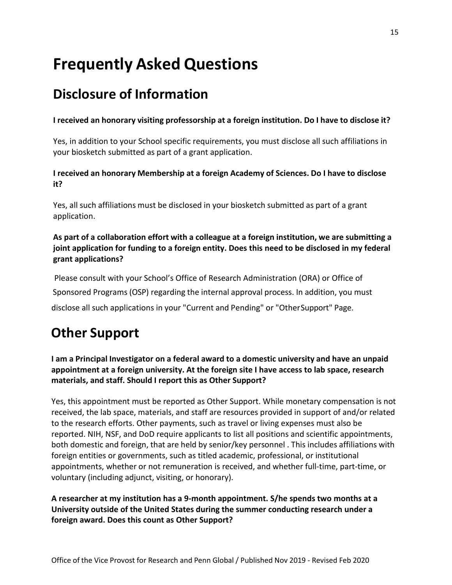# **Frequently Asked Questions**

## **Disclosure of Information**

**I received an honorary visiting professorship at a foreign institution. Do I have to disclose it?**

Yes, in addition to your School specific requirements, you must disclose all such affiliations in your biosketch submitted as part of a grant application.

**I received an honorary Membership at a foreign Academy of Sciences. Do I have to disclose it?**

Yes, all such affiliations must be disclosed in your biosketch submitted as part of a grant application.

**As part of a collaboration effort with a colleague at a foreign institution, we are submitting a joint application for funding to a foreign entity. Does this need to be disclosed in my federal grant applications?**

Please consult with your School's Office of Research Administration (ORA) or Office of Sponsored Programs (OSP) regarding the internal approval process. In addition, you must disclose all such applications in your "Current and Pending" or "OtherSupport" Page.

# **Other Support**

**I am a Principal Investigator on a federal award to a domestic university and have an unpaid appointment at a foreign university. At the foreign site I have access to lab space, research materials, and staff. Should I report this as Other Support?**

Yes, this appointment must be reported as Other Support. While monetary compensation is not received, the lab space, materials, and staff are resources provided in support of and/or related to the research efforts. Other payments, such as travel or living expenses must also be reported. NIH, NSF, and DoD require applicants to list all positions and scientific appointments, both domestic and foreign, that are held by senior/key personnel . This includes affiliations with foreign entities or governments, such as titled academic, professional, or institutional appointments, whether or not remuneration is received, and whether full-time, part-time, or voluntary (including adjunct, visiting, or honorary).

**A researcher at my institution has a 9-month appointment. S/he spends two months at a University outside of the United States during the summer conducting research under a foreign award. Does this count as Other Support?**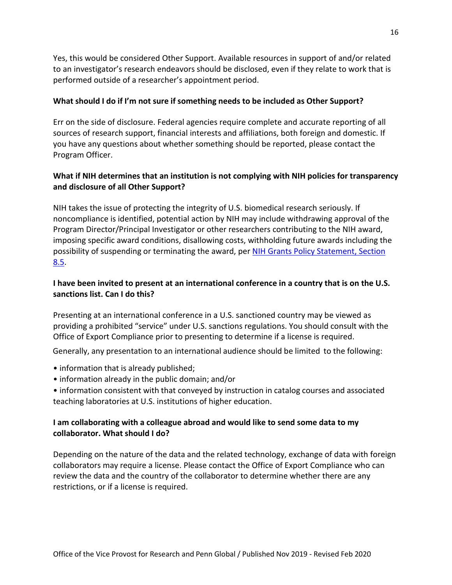Yes, this would be considered Other Support. Available resources in support of and/or related to an investigator's research endeavors should be disclosed, even if they relate to work that is performed outside of a researcher's appointment period.

#### **What should I do if I'm not sure if something needs to be included as Other Support?**

Err on the side of disclosure. Federal agencies require complete and accurate reporting of all sources of research support, financial interests and affiliations, both foreign and domestic. If you have any questions about whether something should be reported, please contact the Program Officer.

#### **What if NIH determines that an institution is not complying with NIH policies for transparency and disclosure of all Other Support?**

NIH takes the issue of protecting the integrity of U.S. biomedical research seriously. If noncompliance is identified, potential action by NIH may include withdrawing approval of the Program Director/Principal Investigator or other researchers contributing to the NIH award, imposing specific award conditions, disallowing costs, withholding future awards including the possibility of suspending or terminating the award, per [NIH Grants Policy Statement, Section](https://grants.nih.gov/grants/policy/nihgps/html5/section_8/8.5_special_award_conditions_and_remedies_for_noncompliance__special_award_conditions_and_enforcement_actions_.htm) [8.5.](https://grants.nih.gov/grants/policy/nihgps/html5/section_8/8.5_special_award_conditions_and_remedies_for_noncompliance__special_award_conditions_and_enforcement_actions_.htm)

#### **I have been invited to present at an international conference in a country that is on the U.S. sanctions list. Can I do this?**

Presenting at an international conference in a U.S. sanctioned country may be viewed as providing a prohibited "service" under U.S. sanctions regulations. You should consult with the Office of Export Compliance prior to presenting to determine if a license is required.

Generally, any presentation to an international audience should be limited to the following:

- information that is already published;
- information already in the public domain; and/or
- information consistent with that conveyed by instruction in catalog courses and associated teaching laboratories at U.S. institutions of higher education.

#### **I am collaborating with a colleague abroad and would like to send some data to my collaborator. What should I do?**

Depending on the nature of the data and the related technology, exchange of data with foreign collaborators may require a license. Please contact the Office of Export Compliance who can review the data and the country of the collaborator to determine whether there are any restrictions, or if a license is required.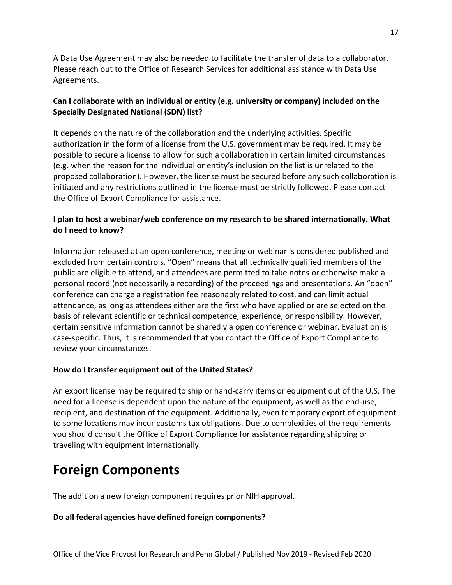A Data Use Agreement may also be needed to facilitate the transfer of data to a collaborator. Please reach out to the Office of Research Services for additional assistance with Data Use Agreements.

#### **Can I collaborate with an individual or entity (e.g. university or company) included on the Specially Designated National (SDN) list?**

It depends on the nature of the collaboration and the underlying activities. Specific authorization in the form of a license from the U.S. government may be required. It may be possible to secure a license to allow for such a collaboration in certain limited circumstances (e.g. when the reason for the individual or entity's inclusion on the list is unrelated to the proposed collaboration). However, the license must be secured before any such collaboration is initiated and any restrictions outlined in the license must be strictly followed. Please contact the Office of Export Compliance for assistance.

#### **I plan to host a webinar/web conference on my research to be shared internationally. What do I need to know?**

Information released at an open conference, meeting or webinar is considered published and excluded from certain controls. "Open" means that all technically qualified members of the public are eligible to attend, and attendees are permitted to take notes or otherwise make a personal record (not necessarily a recording) of the proceedings and presentations. An "open" conference can charge a registration fee reasonably related to cost, and can limit actual attendance, as long as attendees either are the first who have applied or are selected on the basis of relevant scientific or technical competence, experience, or responsibility. However, certain sensitive information cannot be shared via open conference or webinar. Evaluation is case-specific. Thus, it is recommended that you contact the Office of Export Compliance to review your circumstances.

#### **How do I transfer equipment out of the United States?**

An export license may be required to ship or hand-carry items or equipment out of the U.S. The need for a license is dependent upon the nature of the equipment, as well as the end-use, recipient, and destination of the equipment. Additionally, even temporary export of equipment to some locations may incur customs tax obligations. Due to complexities of the requirements you should consult the Office of Export Compliance for assistance regarding shipping or traveling with equipment internationally.

# **Foreign Components**

The addition a new foreign component requires prior NIH approval.

#### **Do all federal agencies have defined foreign components?**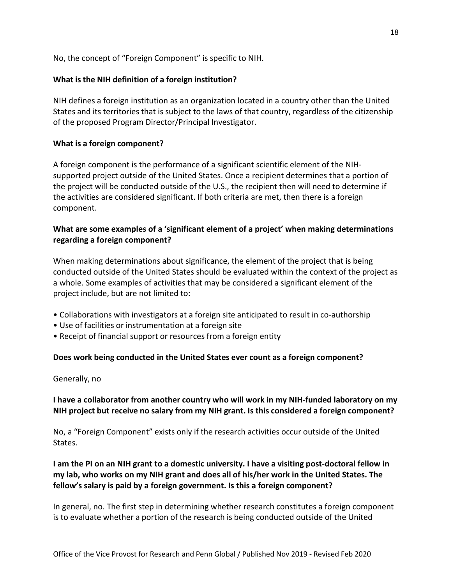No, the concept of "Foreign Component" is specific to NIH.

#### **What is the NIH definition of a foreign institution?**

NIH defines a foreign institution as an organization located in a country other than the United States and its territories that is subject to the laws of that country, regardless of the citizenship of the proposed Program Director/Principal Investigator.

#### **What is a foreign component?**

A foreign component is the performance of a significant scientific element of the NIHsupported project outside of the United States. Once a recipient determines that a portion of the project will be conducted outside of the U.S., the recipient then will need to determine if the activities are considered significant. If both criteria are met, then there is a foreign component.

#### **What are some examples of a 'significant element of a project' when making determinations regarding a foreign component?**

When making determinations about significance, the element of the project that is being conducted outside of the United States should be evaluated within the context of the project as a whole. Some examples of activities that may be considered a significant element of the project include, but are not limited to:

- Collaborations with investigators at a foreign site anticipated to result in co-authorship
- Use of facilities or instrumentation at a foreign site
- Receipt of financial support or resources from a foreign entity

#### **Does work being conducted in the United States ever count as a foreign component?**

#### Generally, no

#### **I have a collaborator from another country who will work in my NIH-funded laboratory on my NIH project but receive no salary from my NIH grant. Is this considered a foreign component?**

No, a "Foreign Component" exists only if the research activities occur outside of the United States.

#### **I am the PI on an NIH grant to a domestic university. I have a visiting post-doctoral fellow in my lab, who works on my NIH grant and does all of his/her work in the United States. The fellow's salary is paid by a foreign government. Is this a foreign component?**

In general, no. The first step in determining whether research constitutes a foreign component is to evaluate whether a portion of the research is being conducted outside of the United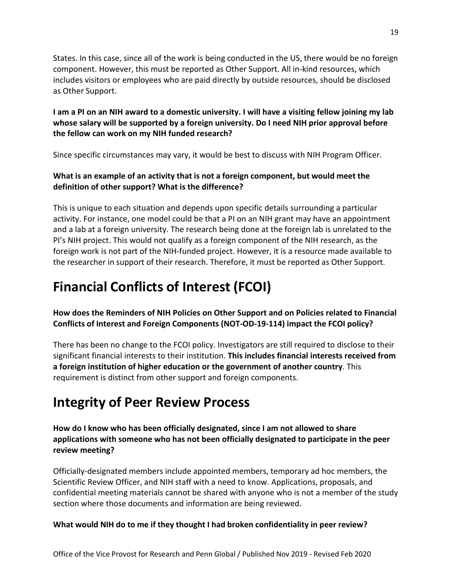States. In this case, since all of the work is being conducted in the US, there would be no foreign component. However, this must be reported as Other Support. All in-kind resources, which includes visitors or employees who are paid directly by outside resources, should be disclosed as Other Support.

#### **I am a PI on an NIH award to a domestic university. I will have a visiting fellow joining my lab whose salary will be supported by a foreign university. Do I need NIH prior approval before the fellow can work on my NIH funded research?**

Since specific circumstances may vary, it would be best to discuss with NIH Program Officer.

#### **What is an example of an activity that is not a foreign component, but would meet the definition of other support? What is the difference?**

This is unique to each situation and depends upon specific details surrounding a particular activity. For instance, one model could be that a PI on an NIH grant may have an appointment and a lab at a foreign university. The research being done at the foreign lab is unrelated to the PI's NIH project. This would not qualify as a foreign component of the NIH research, as the foreign work is not part of the NIH-funded project. However, it is a resource made available to the researcher in support of their research. Therefore, it must be reported as Other Support.

# **Financial Conflicts of Interest (FCOI)**

#### **How does the Reminders of NIH Policies on Other Support and on Policies related to Financial Conflicts of Interest and Foreign Components (NOT-OD-19-114) impact the FCOI policy?**

There has been no change to the FCOI policy. Investigators are still required to disclose to their significant financial interests to their institution. **This includes financial interests received from a foreign institution of higher education or the government of another country**. This requirement is distinct from other support and foreign components.

# **Integrity of Peer Review Process**

#### **How do I know who has been officially designated, since I am not allowed to share applications with someone who has not been officially designated to participate in the peer review meeting?**

Officially-designated members include appointed members, temporary ad hoc members, the Scientific Review Officer, and NIH staff with a need to know. Applications, proposals, and confidential meeting materials cannot be shared with anyone who is not a member of the study section where those documents and information are being reviewed.

#### **What would NIH do to me if they thought I had broken confidentiality in peer review?**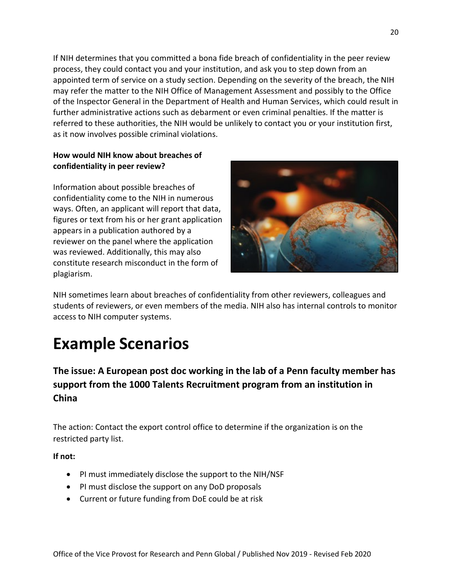If NIH determines that you committed a bona fide breach of confidentiality in the peer review process, they could contact you and your institution, and ask you to step down from an appointed term of service on a study section. Depending on the severity of the breach, the NIH may refer the matter to the NIH Office of Management Assessment and possibly to the Office of the Inspector General in the Department of Health and Human Services, which could result in further administrative actions such as debarment or even criminal penalties. If the matter is referred to these authorities, the NIH would be unlikely to contact you or your institution first, as it now involves possible criminal violations.

#### **How would NIH know about breaches of confidentiality in peer review?**

Information about possible breaches of confidentiality come to the NIH in numerous ways. Often, an applicant will report that data, figures or text from his or her grant application appears in a publication authored by a reviewer on the panel where the application was reviewed. Additionally, this may also constitute research misconduct in the form of plagiarism.



NIH sometimes learn about breaches of confidentiality from other reviewers, colleagues and students of reviewers, or even members of the media. NIH also has internal controls to monitor access to NIH computer systems.

# **Example Scenarios**

**The issue: A European post doc working in the lab of a Penn faculty member has support from the 1000 Talents Recruitment program from an institution in China**

The action: Contact the export control office to determine if the organization is on the restricted party list.

**If not:**

- PI must immediately disclose the support to the NIH/NSF
- PI must disclose the support on any DoD proposals
- Current or future funding from DoE could be at risk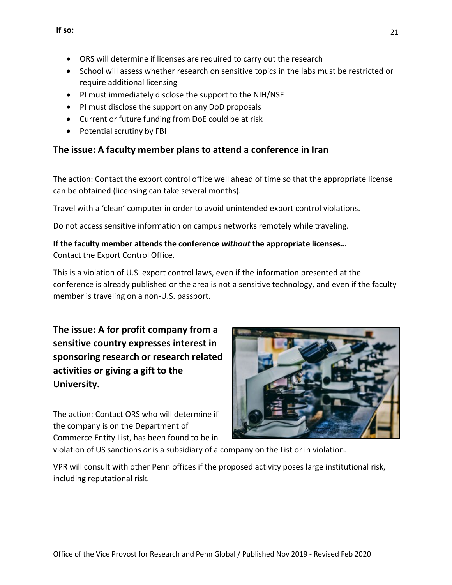- ORS will determine if licenses are required to carry out the research
- School will assess whether research on sensitive topics in the labs must be restricted or require additional licensing
- PI must immediately disclose the support to the NIH/NSF
- PI must disclose the support on any DoD proposals
- Current or future funding from DoE could be at risk
- Potential scrutiny by FBI

### **The issue: A faculty member plans to attend a conference in Iran**

The action: Contact the export control office well ahead of time so that the appropriate license can be obtained (licensing can take several months).

Travel with a 'clean' computer in order to avoid unintended export control violations.

Do not access sensitive information on campus networks remotely while traveling.

### **If the faculty member attends the conference** *without* **the appropriate licenses…**

Contact the Export Control Office.

This is a violation of U.S. export control laws, even if the information presented at the conference is already published or the area is not a sensitive technology, and even if the faculty member is traveling on a non-U.S. passport.

**The issue: A for profit company from a sensitive country expresses interest in sponsoring research or research related activities or giving a gift to the University.**

The action: Contact ORS who will determine if the company is on the Department of Commerce Entity List, has been found to be in



violation of US sanctions *or* is a subsidiary of a company on the List or in violation.

VPR will consult with other Penn offices if the proposed activity poses large institutional risk, including reputational risk.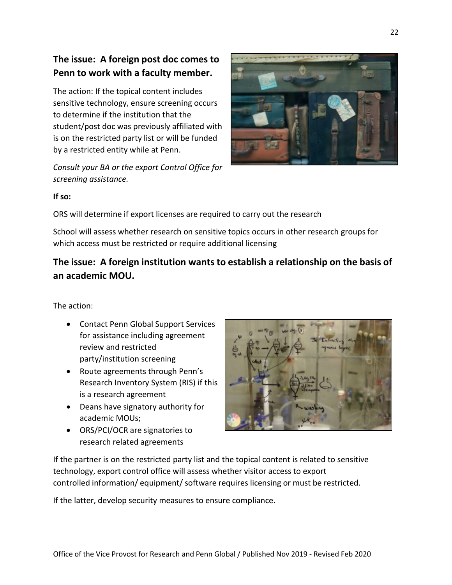### **The issue: A foreign post doc comes to Penn to work with a faculty member.**

The action: If the topical content includes sensitive technology, ensure screening occurs to determine if the institution that the student/post doc was previously affiliated with is on the restricted party list or will be funded by a restricted entity while at Penn.

*Consult your BA or the export Control Office for screening assistance.*



#### **If so:**

ORS will determine if export licenses are required to carry out the research

School will assess whether research on sensitive topics occurs in other research groups for which access must be restricted or require additional licensing

### **The issue: A foreign institution wants to establish a relationship on the basis of an academic MOU.**

The action:

- Contact Penn Global Support Services for assistance including agreement review and restricted party/institution screening
- Route agreements through Penn's Research Inventory System (RIS) if this is a research agreement
- Deans have signatory authority for academic MOUs;
- ORS/PCI/OCR are signatories to research related agreements



If the partner is on the restricted party list and the topical content is related to sensitive technology, export control office will assess whether visitor access to export controlled information/ equipment/ software requires licensing or must be restricted.

If the latter, develop security measures to ensure compliance.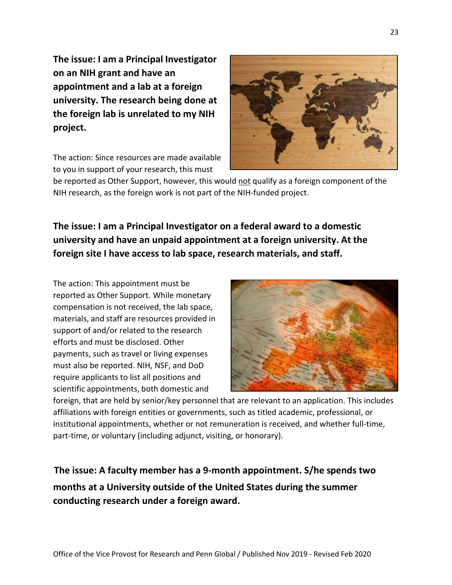**The issue: I am a Principal Investigator on an NIH grant and have an appointment and a lab at a foreign university. The research being done at the foreign lab is unrelated to my NIH project.**

The action: Since resources are made available to you in support of your research, this must



be reported as Other Support, however, this would not qualify as a foreign component of the NIH research, as the foreign work is not part of the NIH-funded project.

**The issue: I am a Principal Investigator on a federal award to a domestic university and have an unpaid appointment at a foreign university. At the foreign site I have access to lab space, research materials, and staff.**

The action: This appointment must be reported as Other Support. While monetary compensation is not received, the lab space, materials, and staff are resources provided in support of and/or related to the research efforts and must be disclosed. Other payments, such as travel or living expenses must also be reported. NIH, NSF, and DoD require applicants to list all positions and scientific appointments, both domestic and



foreign, that are held by senior/key personnel that are relevant to an application. This includes affiliations with foreign entities or governments, such as titled academic, professional, or institutional appointments, whether or not remuneration is received, and whether full-time, part-time, or voluntary (including adjunct, visiting, or honorary).

**months at a University outside of the United States during the summer conducting research under a foreign award. The issue: A faculty member has a 9-month appointment. S/he spends two**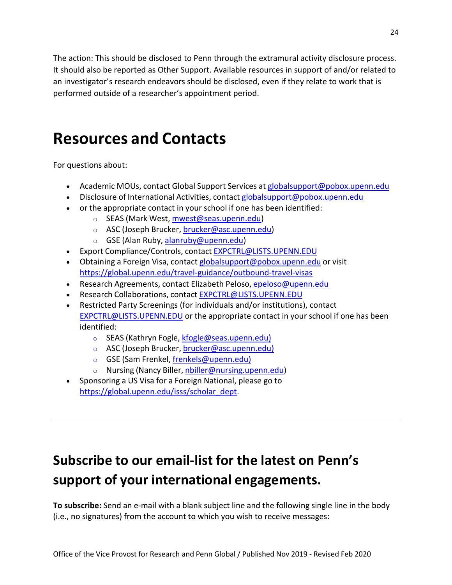The action: This should be disclosed to Penn through the extramural activity disclosure process. It should also be reported as Other Support. Available resources in support of and/or related to an investigator's research endeavors should be disclosed, even if they relate to work that is performed outside of a researcher's appointment period.

# **Resources and Contacts**

For questions about:

- Academic MOUs, contact Global Support Services at globalsupport@pobox.upenn.edu
- Disclosure of International Activities, contact globalsupport@pobox.upenn.edu
- or the appropriate contact in your school if one has been identified:
	- o SEAS (Mark West, mwest@seas.upenn.edu)
	- o ASC (Joseph Brucker, brucker@asc.upenn.edu)
	- o GSE (Alan Ruby, alanruby@upenn.edu)
- Export Compliance/Controls, contact EXPCTRL@LISTS.UPENN.EDU
- Obtaining a Foreign Visa, contact globalsupport@pobox.upenn.edu or visit https://global.upenn.edu/travel-guidance/outbound-travel-visas
- Research Agreements, contact Elizabeth Peloso, epeloso@upenn.edu
- Research Collaborations, contact EXPCTRL@LISTS.UPENN.EDU
- Restricted Party Screenings (for individuals and/or institutions), contact EXPCTRL@LISTS.UPENN.EDU or the appropriate contact in your school if one has been identified:
	- o SEAS (Kathryn Fogle, kfogle@seas.upenn.edu)
	- o ASC (Joseph Brucker, brucker@asc.upenn.edu)
	- o GSE (Sam Frenkel, frenkels@upenn.edu)
	- o Nursing (Nancy Biller, nbiller@nursing.upenn.edu)
- Sponsoring a US Visa for a Foreign National, please go to https://global.upenn.edu/isss/scholar\_dept.

# **Subscribe to our email-list for the latest on Penn's support of your international engagements.**

**To subscribe:** Send an e-mail with a blank subject line and the following single line in the body (i.e., no signatures) from the account to which you wish to receive messages: